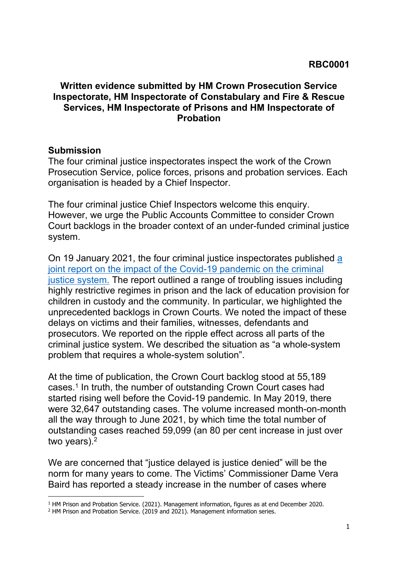## **Written evidence submitted by HM Crown Prosecution Service Inspectorate, HM Inspectorate of Constabulary and Fire & Rescue Services, HM Inspectorate of Prisons and HM Inspectorate of Probation**

## **Submission**

The four criminal justice inspectorates inspect the work of the Crown Prosecution Service, police forces, prisons and probation services. Each organisation is headed by a Chief Inspector.

The four criminal justice Chief Inspectors welcome this enquiry. However, we urge the Public Accounts Committee to consider Crown Court backlogs in the broader context of an under-funded criminal justice system.

On 19 January 2021, the four criminal justice inspectorates published [a](https://www.justiceinspectorates.gov.uk/cjji/impact-of-the-pandemic-on-the-criminal-justice-system/) [joint](https://www.justiceinspectorates.gov.uk/cjji/impact-of-the-pandemic-on-the-criminal-justice-system/) [report](https://www.justiceinspectorates.gov.uk/cjji/impact-of-the-pandemic-on-the-criminal-justice-system/) [on](https://www.justiceinspectorates.gov.uk/cjji/impact-of-the-pandemic-on-the-criminal-justice-system/) [the](https://www.justiceinspectorates.gov.uk/cjji/impact-of-the-pandemic-on-the-criminal-justice-system/) [impact](https://www.justiceinspectorates.gov.uk/cjji/impact-of-the-pandemic-on-the-criminal-justice-system/) [of](https://www.justiceinspectorates.gov.uk/cjji/impact-of-the-pandemic-on-the-criminal-justice-system/) [the](https://www.justiceinspectorates.gov.uk/cjji/impact-of-the-pandemic-on-the-criminal-justice-system/) [Covid-19](https://www.justiceinspectorates.gov.uk/cjji/impact-of-the-pandemic-on-the-criminal-justice-system/) [pandemic](https://www.justiceinspectorates.gov.uk/cjji/impact-of-the-pandemic-on-the-criminal-justice-system/) [on](https://www.justiceinspectorates.gov.uk/cjji/impact-of-the-pandemic-on-the-criminal-justice-system/) [the](https://www.justiceinspectorates.gov.uk/cjji/impact-of-the-pandemic-on-the-criminal-justice-system/) [criminal](https://www.justiceinspectorates.gov.uk/cjji/impact-of-the-pandemic-on-the-criminal-justice-system/) [justice](https://www.justiceinspectorates.gov.uk/cjji/impact-of-the-pandemic-on-the-criminal-justice-system/) [system.](https://www.justiceinspectorates.gov.uk/cjji/impact-of-the-pandemic-on-the-criminal-justice-system/) The report outlined a range of troubling issues including highly restrictive regimes in prison and the lack of education provision for children in custody and the community. In particular, we highlighted the unprecedented backlogs in Crown Courts. We noted the impact of these delays on victims and their families, witnesses, defendants and prosecutors. We reported on the ripple effect across all parts of the criminal justice system. We described the situation as "a whole-system problem that requires a whole-system solution".

At the time of publication, the Crown Court backlog stood at 55,189 cases.<sup>1</sup> In truth, the number of outstanding Crown Court cases had started rising well before the Covid-19 pandemic. In May 2019, there were 32,647 outstanding cases. The volume increased month-on-month all the way through to June 2021, by which time the total number of outstanding cases reached 59,099 (an 80 per cent increase in just over two years).<sup>2</sup>

We are concerned that "justice delayed is justice denied" will be the norm for many years to come. The Victims' Commissioner Dame Vera Baird has reported a steady increase in the number of cases where

<sup>1</sup> HM Prison and Probation Service. (2021). Management information, figures as at end December 2020.

<sup>&</sup>lt;sup>2</sup> HM Prison and Probation Service. (2019 and 2021). Management information series.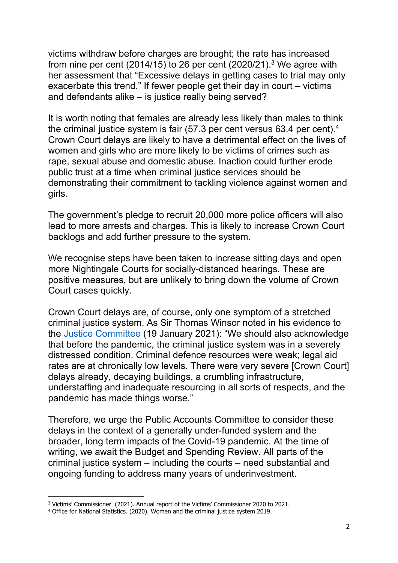victims withdraw before charges are brought; the rate has increased from nine per cent  $(2014/15)$  to 26 per cent  $(2020/21).$ <sup>3</sup> We agree with her assessment that "Excessive delays in getting cases to trial may only exacerbate this trend." If fewer people get their day in court – victims and defendants alike – is justice really being served?

It is worth noting that females are already less likely than males to think the criminal justice system is fair (57.3 per cent versus 63.4 per cent).<sup>4</sup> Crown Court delays are likely to have a detrimental effect on the lives of women and girls who are more likely to be victims of crimes such as rape, sexual abuse and domestic abuse. Inaction could further erode public trust at a time when criminal justice services should be demonstrating their commitment to tackling violence against women and girls.

The government's pledge to recruit 20,000 more police officers will also lead to more arrests and charges. This is likely to increase Crown Court backlogs and add further pressure to the system.

We recognise steps have been taken to increase sitting days and open more Nightingale Courts for socially-distanced hearings. These are positive measures, but are unlikely to bring down the volume of Crown Court cases quickly.

Crown Court delays are, of course, only one symptom of a stretched criminal justice system. As Sir Thomas Winsor noted in his evidence to the [Justice](https://committees.parliament.uk/event/3174/formal-meeting/) [Committee](https://committees.parliament.uk/event/3174/formal-meeting/) (19 January 2021): "We should also acknowledge that before the pandemic, the criminal justice system was in a severely distressed condition. Criminal defence resources were weak; legal aid rates are at chronically low levels. There were very severe [Crown Court] delays already, decaying buildings, a crumbling infrastructure, understaffing and inadequate resourcing in all sorts of respects, and the pandemic has made things worse."

Therefore, we urge the Public Accounts Committee to consider these delays in the context of a generally under-funded system and the broader, long term impacts of the Covid-19 pandemic. At the time of writing, we await the Budget and Spending Review. All parts of the criminal justice system – including the courts – need substantial and ongoing funding to address many years of underinvestment.

<sup>3</sup> Victims' Commissioner. (2021). Annual report of the Victims' Commissioner 2020 to 2021.

<sup>4</sup> Office for National Statistics. (2020). Women and the criminal justice system 2019.